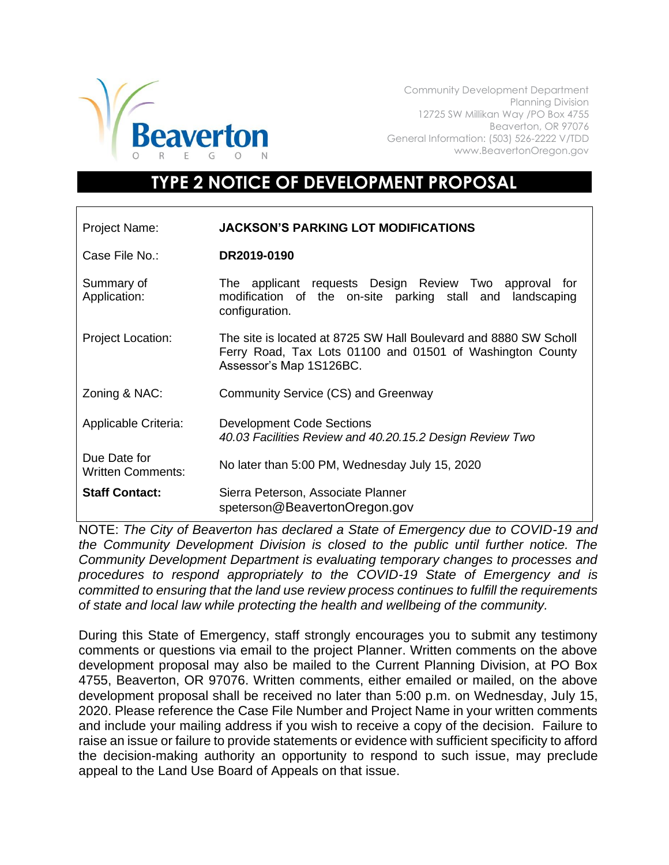

Community Development Department Planning Division 12725 SW Millikan Way /PO Box 4755 Beaverton, OR 97076 General Information: (503) 526-2222 V/TDD www.BeavertonOregon.gov

## **TYPE 2 NOTICE OF DEVELOPMENT PROPOSAL**

| Project Name:                            | <b>JACKSON'S PARKING LOT MODIFICATIONS</b>                                                                                                               |
|------------------------------------------|----------------------------------------------------------------------------------------------------------------------------------------------------------|
| Case File No.:                           | DR2019-0190                                                                                                                                              |
| Summary of<br>Application:               | The applicant requests Design Review Two approval for<br>modification of the on-site parking stall and landscaping<br>configuration.                     |
| <b>Project Location:</b>                 | The site is located at 8725 SW Hall Boulevard and 8880 SW Scholl<br>Ferry Road, Tax Lots 01100 and 01501 of Washington County<br>Assessor's Map 1S126BC. |
| Zoning & NAC:                            | Community Service (CS) and Greenway                                                                                                                      |
| Applicable Criteria:                     | <b>Development Code Sections</b><br>40.03 Facilities Review and 40.20.15.2 Design Review Two                                                             |
| Due Date for<br><b>Written Comments:</b> | No later than 5:00 PM, Wednesday July 15, 2020                                                                                                           |
| <b>Staff Contact:</b>                    | Sierra Peterson, Associate Planner<br>speterson@BeavertonOregon.gov                                                                                      |

NOTE: *The City of Beaverton has declared a State of Emergency due to COVID-19 and the Community Development Division is closed to the public until further notice. The Community Development Department is evaluating temporary changes to processes and procedures to respond appropriately to the COVID-19 State of Emergency and is committed to ensuring that the land use review process continues to fulfill the requirements of state and local law while protecting the health and wellbeing of the community.*

During this State of Emergency, staff strongly encourages you to submit any testimony comments or questions via email to the project Planner. Written comments on the above development proposal may also be mailed to the Current Planning Division, at PO Box 4755, Beaverton, OR 97076. Written comments, either emailed or mailed, on the above development proposal shall be received no later than 5:00 p.m. on Wednesday, July 15, 2020. Please reference the Case File Number and Project Name in your written comments and include your mailing address if you wish to receive a copy of the decision. Failure to raise an issue or failure to provide statements or evidence with sufficient specificity to afford the decision-making authority an opportunity to respond to such issue, may preclude appeal to the Land Use Board of Appeals on that issue.